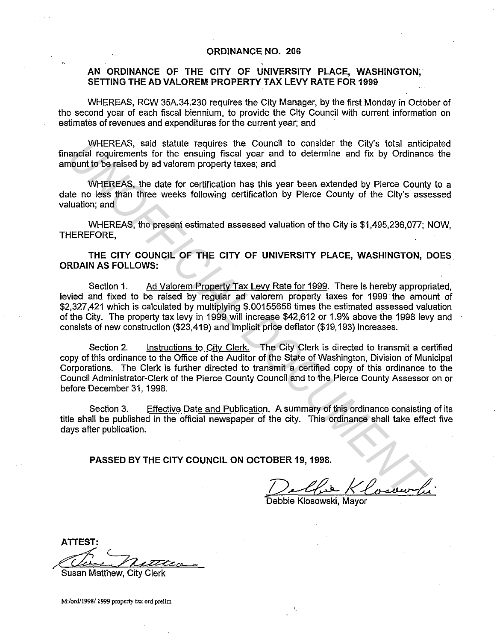## **ORDINANCE NO. 206**

## **AN ORDINANCE OF THE CITY OF UNIVERSITY PLACE, WASHINGTON; SETTING THE AD VALOREM PROPERTY TAX LEVY RATE FOR 1999**

WHEREAS, RCW 35A.34.230 requires the City Manager, by the first Monday in October of the second year of each fiscal biennium, to provide the City Council with current information on estimates of revenues and expenditures for the current year; and

WHEREAS, said statute requires the Council to consider the City's total anticipated financial requirements for the ensuing fiscal year and to determine and fix by Ordinance the amount to be raised by ad valorem property taxes; and

WHEREAS, the date for certification has this year been extended by Pierce County to a date no less than three weeks following certification by Pierce County of the City's assessed valuation; and

WHEREAS, the present estimated assessed valuation of the City is \$1,495,236,077; NOW, THEREFORE,

**THE CITY COUNCIL OF THE CITY OF UNIVERSITY PLACE, WASHINGTON, DOES ORDAIN AS FOLLOWS:** 

Section 1. Ad Valorem Property Tax Levy Rate for 1999. There is hereby appropriated, levied and fixed to be raised by regular ad valorem property taxes for 1999 the amount of \$2,327,421 which is calculated by multiplying \$.00155656 times the estimated assessed valuation of the City. The property tax levy in 1999 will increase \$42,612 or 1.9% above the 1998 levy and consists of new construction (\$23,419) and implicit price deflater (\$19, 193) increases.

Section 2. Instructions to City Clerk. The City Clerk is directed to transmit a certified copy of this ordinance to the Office of the Auditor of the State of Washington, Division of Municipal Corporations. The Clerk is further directed to transmit a certified copy of this ordinance to the Council Administrator-Clerk of the Pierce County Council and to the Pierce County Assessor on or before December 31, 1998. WHEREAS, said statute requires the Council to consider the City's total anticial<br>angular experiments for the ensuing fiscal year and to determine and fix by Ordinance<br>angular degree method by advatorem property faxes; and<br>

Section 3. Effective Date and Publication. A summary of this ordinance consisting of its title shall be published in the official newspaper of the city. This ordinance shall take effect five days after publication.

**PASSED BY THE CITY COUNCIL ON OCTOBER 19, 1998.** 

Chie Klosow

Debbie Klosowski, Mayor

**ATTEST:** 

Susan Matthew, City Clerk

**M:/ord/1998/ 1999 property tax ord prelim**